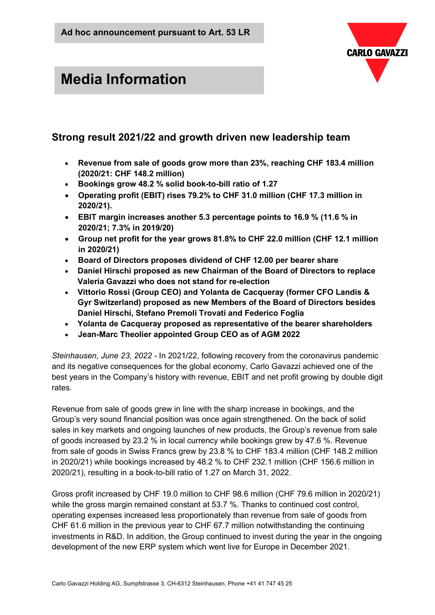

# **Media Information**

# **Strong result 2021/22 and growth driven new leadership team**

- **Revenue from sale of goods grow more than 23%, reaching CHF 183.4 million (2020/21: CHF 148.2 million)**
- **Bookings grow 48.2 % solid book-to-bill ratio of 1.27**
- **Operating profit (EBIT) rises 79.2% to CHF 31.0 million (CHF 17.3 million in 2020/21).**
- **EBIT margin increases another 5.3 percentage points to 16.9 % (11.6 % in 2020/21; 7.3% in 2019/20)**
- **Group net profit for the year grows 81.8% to CHF 22.0 million (CHF 12.1 million in 2020/21)**
- **Board of Directors proposes dividend of CHF 12.00 per bearer share**
- **Daniel Hirschi proposed as new Chairman of the Board of Directors to replace Valeria Gavazzi who does not stand for re-election**
- **Vittorio Rossi (Group CEO) and Yolanta de Cacqueray (former CFO Landis & Gyr Switzerland) proposed as new Members of the Board of Directors besides Daniel Hirschi, Stefano Premoli Trovati and Federico Foglia**
- **Yolanta de Cacqueray proposed as representative of the bearer shareholders**
- **Jean-Marc Theolier appointed Group CEO as of AGM 2022**

*Steinhausen, June 23, 2022 -* In 2021/22, following recovery from the coronavirus pandemic and its negative consequences for the global economy, Carlo Gavazzi achieved one of the best years in the Company's history with revenue, EBIT and net profit growing by double digit rates.

Revenue from sale of goods grew in line with the sharp increase in bookings, and the Group's very sound financial position was once again strengthened. On the back of solid sales in key markets and ongoing launches of new products, the Group's revenue from sale of goods increased by 23.2 % in local currency while bookings grew by 47.6 %. Revenue from sale of goods in Swiss Francs grew by 23.8 % to CHF 183.4 million (CHF 148.2 million in 2020/21) while bookings increased by 48.2 % to CHF 232.1 million (CHF 156.6 million in 2020/21), resulting in a book-to-bill ratio of 1.27 on March 31, 2022.

Gross profit increased by CHF 19.0 million to CHF 98.6 million (CHF 79.6 million in 2020/21) while the gross margin remained constant at 53.7 %. Thanks to continued cost control, operating expenses increased less proportionately than revenue from sale of goods from CHF 61.6 million in the previous year to CHF 67.7 million notwithstanding the continuing investments in R&D. In addition, the Group continued to invest during the year in the ongoing development of the new ERP system which went live for Europe in December 2021.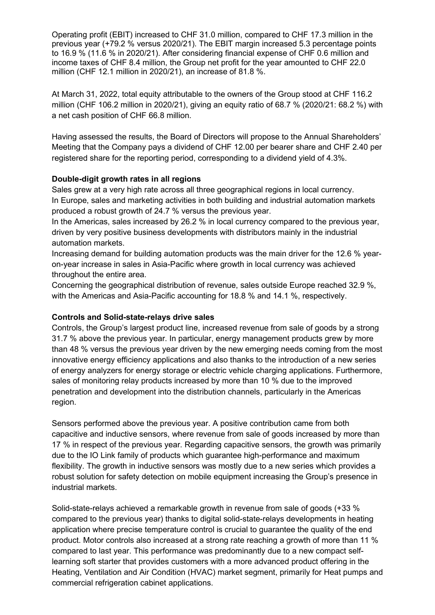Operating profit (EBIT) increased to CHF 31.0 million, compared to CHF 17.3 million in the previous year (+79.2 % versus 2020/21). The EBIT margin increased 5.3 percentage points to 16.9 % (11.6 % in 2020/21). After considering financial expense of CHF 0.6 million and income taxes of CHF 8.4 million, the Group net profit for the year amounted to CHF 22.0 million (CHF 12.1 million in 2020/21), an increase of 81.8 %.

At March 31, 2022, total equity attributable to the owners of the Group stood at CHF 116.2 million (CHF 106.2 million in 2020/21), giving an equity ratio of 68.7 % (2020/21: 68.2 %) with a net cash position of CHF 66.8 million.

Having assessed the results, the Board of Directors will propose to the Annual Shareholders' Meeting that the Company pays a dividend of CHF 12.00 per bearer share and CHF 2.40 per registered share for the reporting period, corresponding to a dividend yield of 4.3%.

#### **Double-digit growth rates in all regions**

Sales grew at a very high rate across all three geographical regions in local currency. In Europe, sales and marketing activities in both building and industrial automation markets produced a robust growth of 24.7 % versus the previous year.

In the Americas, sales increased by 26.2 % in local currency compared to the previous year, driven by very positive business developments with distributors mainly in the industrial automation markets.

Increasing demand for building automation products was the main driver for the 12.6 % yearon-year increase in sales in Asia-Pacific where growth in local currency was achieved throughout the entire area.

Concerning the geographical distribution of revenue, sales outside Europe reached 32.9 %, with the Americas and Asia-Pacific accounting for 18.8 % and 14.1 %, respectively.

#### **Controls and Solid-state-relays drive sales**

Controls, the Group's largest product line, increased revenue from sale of goods by a strong 31.7 % above the previous year. In particular, energy management products grew by more than 48 % versus the previous year driven by the new emerging needs coming from the most innovative energy efficiency applications and also thanks to the introduction of a new series of energy analyzers for energy storage or electric vehicle charging applications. Furthermore, sales of monitoring relay products increased by more than 10 % due to the improved penetration and development into the distribution channels, particularly in the Americas region.

Sensors performed above the previous year. A positive contribution came from both capacitive and inductive sensors, where revenue from sale of goods increased by more than 17 % in respect of the previous year. Regarding capacitive sensors, the growth was primarily due to the IO Link family of products which guarantee high-performance and maximum flexibility. The growth in inductive sensors was mostly due to a new series which provides a robust solution for safety detection on mobile equipment increasing the Group's presence in industrial markets.

Solid-state-relays achieved a remarkable growth in revenue from sale of goods (+33 % compared to the previous year) thanks to digital solid-state-relays developments in heating application where precise temperature control is crucial to guarantee the quality of the end product. Motor controls also increased at a strong rate reaching a growth of more than 11 % compared to last year. This performance was predominantly due to a new compact selflearning soft starter that provides customers with a more advanced product offering in the Heating, Ventilation and Air Condition (HVAC) market segment, primarily for Heat pumps and commercial refrigeration cabinet applications.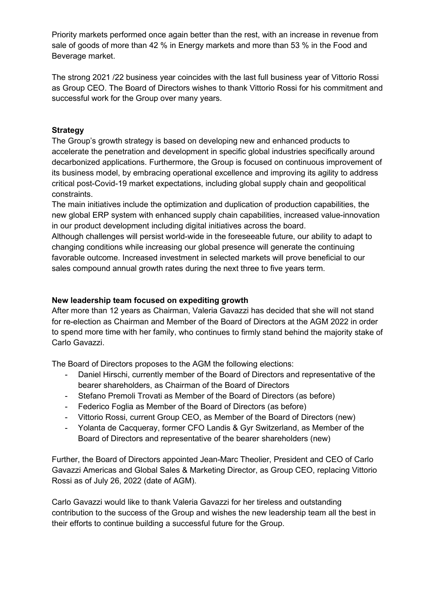Priority markets performed once again better than the rest, with an increase in revenue from sale of goods of more than 42 % in Energy markets and more than 53 % in the Food and Beverage market.

The strong 2021 /22 business year coincides with the last full business year of Vittorio Rossi as Group CEO. The Board of Directors wishes to thank Vittorio Rossi for his commitment and successful work for the Group over many years.

# **Strategy**

The Group's growth strategy is based on developing new and enhanced products to accelerate the penetration and development in specific global industries specifically around decarbonized applications. Furthermore, the Group is focused on continuous improvement of its business model, by embracing operational excellence and improving its agility to address critical post-Covid-19 market expectations, including global supply chain and geopolitical constraints.

The main initiatives include the optimization and duplication of production capabilities, the new global ERP system with enhanced supply chain capabilities, increased value-innovation in our product development including digital initiatives across the board.

Although challenges will persist world-wide in the foreseeable future, our ability to adapt to changing conditions while increasing our global presence will generate the continuing favorable outcome. Increased investment in selected markets will prove beneficial to our sales compound annual growth rates during the next three to five years term.

#### **New leadership team focused on expediting growth**

After more than 12 years as Chairman, Valeria Gavazzi has decided that she will not stand for re-election as Chairman and Member of the Board of Directors at the AGM 2022 in order to spend more time with her family, who continues to firmly stand behind the majority stake of Carlo Gavazzi.

The Board of Directors proposes to the AGM the following elections:

- Daniel Hirschi, currently member of the Board of Directors and representative of the bearer shareholders, as Chairman of the Board of Directors
- Stefano Premoli Trovati as Member of the Board of Directors (as before)
- Federico Foglia as Member of the Board of Directors (as before)
- Vittorio Rossi, current Group CEO, as Member of the Board of Directors (new)
- Yolanta de Cacqueray, former CFO Landis & Gyr Switzerland, as Member of the Board of Directors and representative of the bearer shareholders (new)

Further, the Board of Directors appointed Jean-Marc Theolier, President and CEO of Carlo Gavazzi Americas and Global Sales & Marketing Director, as Group CEO, replacing Vittorio Rossi as of July 26, 2022 (date of AGM).

Carlo Gavazzi would like to thank Valeria Gavazzi for her tireless and outstanding contribution to the success of the Group and wishes the new leadership team all the best in their efforts to continue building a successful future for the Group.